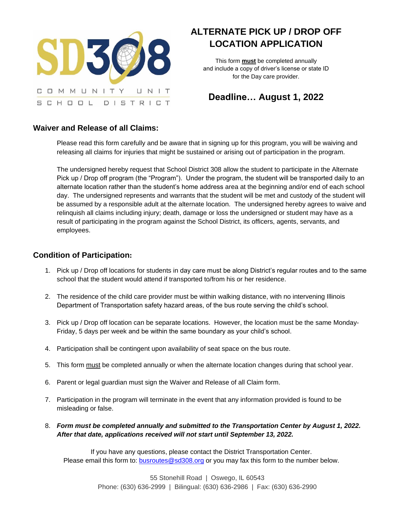

# **ALTERNATE PICK UP / DROP OFF LOCATION APPLICATION**

This form **must** be completed annually and include a copy of driver's license or state ID for the Day care provider.

## **Deadline… August 1, 2022**

### **Waiver and Release of all Claims:**

Please read this form carefully and be aware that in signing up for this program, you will be waiving and releasing all claims for injuries that might be sustained or arising out of participation in the program.

The undersigned hereby request that School District 308 allow the student to participate in the Alternate Pick up / Drop off program (the "Program"). Under the program, the student will be transported daily to an alternate location rather than the student's home address area at the beginning and/or end of each school day. The undersigned represents and warrants that the student will be met and custody of the student will be assumed by a responsible adult at the alternate location. The undersigned hereby agrees to waive and relinquish all claims including injury; death, damage or loss the undersigned or student may have as a result of participating in the program against the School District, its officers, agents, servants, and employees.

#### **Condition of Participation:**

- 1. Pick up / Drop off locations for students in day care must be along District's regular routes and to the same school that the student would attend if transported to/from his or her residence.
- 2. The residence of the child care provider must be within walking distance, with no intervening Illinois Department of Transportation safety hazard areas, of the bus route serving the child's school.
- 3. Pick up / Drop off location can be separate locations. However, the location must be the same Monday-Friday, 5 days per week and be within the same boundary as your child's school.
- 4. Participation shall be contingent upon availability of seat space on the bus route.
- 5. This form must be completed annually or when the alternate location changes during that school year.
- 6. Parent or legal guardian must sign the Waiver and Release of all Claim form.
- 7. Participation in the program will terminate in the event that any information provided is found to be misleading or false.
- 8. *Form must be completed annually and submitted to the Transportation Center by August 1, 2022. After that date, applications received will not start until September 13, 2022.*

If you have any questions, please contact the District Transportation Center. Please email this form to: [busroutes@sd308.org](mailto:busroutes@sd308.org) or you may fax this form to the number below.

> 55 Stonehill Road | Oswego, IL 60543 Phone: (630) 636-2999 | Bilingual: (630) 636-2986 | Fax: (630) 636-2990